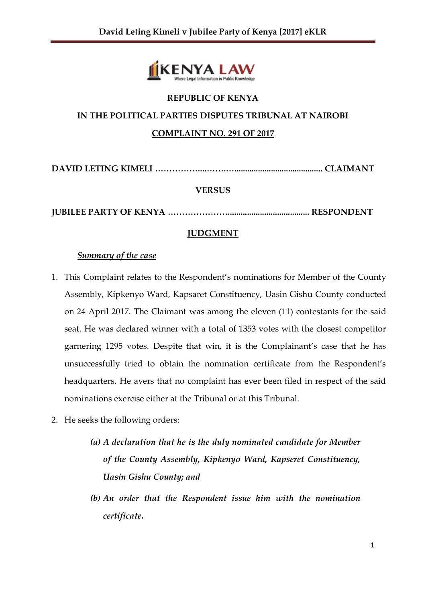

# **REPUBLIC OF KENYA IN THE POLITICAL PARTIES DISPUTES TRIBUNAL AT NAIROBI COMPLAINT NO. 291 OF 2017**

**DAVID LETING KIMELI ……………....…….…......................................... CLAIMANT**

### **VERSUS**

**JUBILEE PARTY OF KENYA …………………...................................... RESPONDENT**

## **JUDGMENT**

### *Summary of the case*

- 1. This Complaint relates to the Respondent's nominations for Member of the County Assembly, Kipkenyo Ward, Kapsaret Constituency, Uasin Gishu County conducted on 24 April 2017. The Claimant was among the eleven (11) contestants for the said seat. He was declared winner with a total of 1353 votes with the closest competitor garnering 1295 votes. Despite that win, it is the Complainant's case that he has unsuccessfully tried to obtain the nomination certificate from the Respondent's headquarters. He avers that no complaint has ever been filed in respect of the said nominations exercise either at the Tribunal or at this Tribunal.
- 2. He seeks the following orders:
	- *(a) A declaration that he is the duly nominated candidate for Member of the County Assembly, Kipkenyo Ward, Kapseret Constituency, Uasin Gishu County; and*
	- *(b) An order that the Respondent issue him with the nomination certificate.*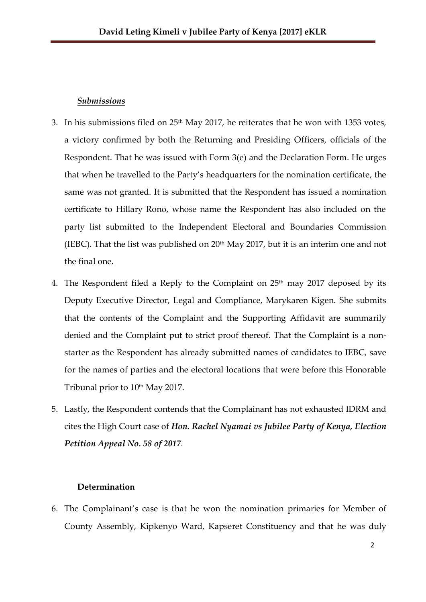#### *Submissions*

- 3. In his submissions filed on 25th May 2017, he reiterates that he won with 1353 votes, a victory confirmed by both the Returning and Presiding Officers, officials of the Respondent. That he was issued with Form 3(e) and the Declaration Form. He urges that when he travelled to the Party's headquarters for the nomination certificate, the same was not granted. It is submitted that the Respondent has issued a nomination certificate to Hillary Rono, whose name the Respondent has also included on the party list submitted to the Independent Electoral and Boundaries Commission (IEBC). That the list was published on  $20<sup>th</sup>$  May 2017, but it is an interim one and not the final one.
- 4. The Respondent filed a Reply to the Complaint on  $25<sup>th</sup>$  may 2017 deposed by its Deputy Executive Director, Legal and Compliance, Marykaren Kigen. She submits that the contents of the Complaint and the Supporting Affidavit are summarily denied and the Complaint put to strict proof thereof. That the Complaint is a nonstarter as the Respondent has already submitted names of candidates to IEBC, save for the names of parties and the electoral locations that were before this Honorable Tribunal prior to 10<sup>th</sup> May 2017.
- 5. Lastly, the Respondent contends that the Complainant has not exhausted IDRM and cites the High Court case of *Hon. Rachel Nyamai vs Jubilee Party of Kenya, Election Petition Appeal No. 58 of 2017*.

#### **Determination**

6. The Complainant's case is that he won the nomination primaries for Member of County Assembly, Kipkenyo Ward, Kapseret Constituency and that he was duly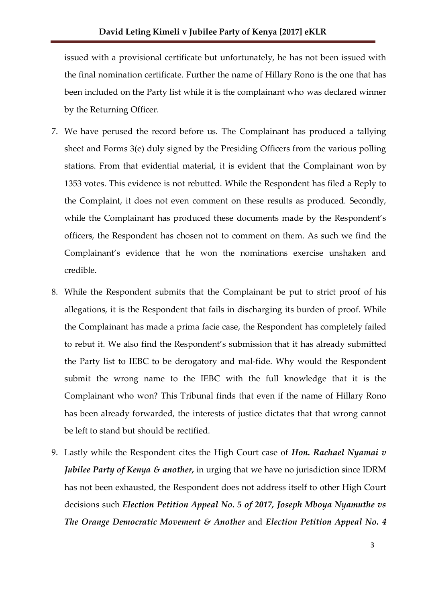issued with a provisional certificate but unfortunately, he has not been issued with the final nomination certificate. Further the name of Hillary Rono is the one that has been included on the Party list while it is the complainant who was declared winner by the Returning Officer.

- 7. We have perused the record before us. The Complainant has produced a tallying sheet and Forms 3(e) duly signed by the Presiding Officers from the various polling stations. From that evidential material, it is evident that the Complainant won by 1353 votes. This evidence is not rebutted. While the Respondent has filed a Reply to the Complaint, it does not even comment on these results as produced. Secondly, while the Complainant has produced these documents made by the Respondent's officers, the Respondent has chosen not to comment on them. As such we find the Complainant's evidence that he won the nominations exercise unshaken and credible.
- 8. While the Respondent submits that the Complainant be put to strict proof of his allegations, it is the Respondent that fails in discharging its burden of proof. While the Complainant has made a prima facie case, the Respondent has completely failed to rebut it. We also find the Respondent's submission that it has already submitted the Party list to IEBC to be derogatory and mal-fide. Why would the Respondent submit the wrong name to the IEBC with the full knowledge that it is the Complainant who won? This Tribunal finds that even if the name of Hillary Rono has been already forwarded, the interests of justice dictates that that wrong cannot be left to stand but should be rectified.
- 9. Lastly while the Respondent cites the High Court case of *Hon. Rachael Nyamai v Jubilee Party of Kenya & another,* in urging that we have no jurisdiction since IDRM has not been exhausted, the Respondent does not address itself to other High Court decisions such *Election Petition Appeal No. 5 of 2017, Joseph Mboya Nyamuthe vs The Orange Democratic Movement & Another* and *Election Petition Appeal No. 4*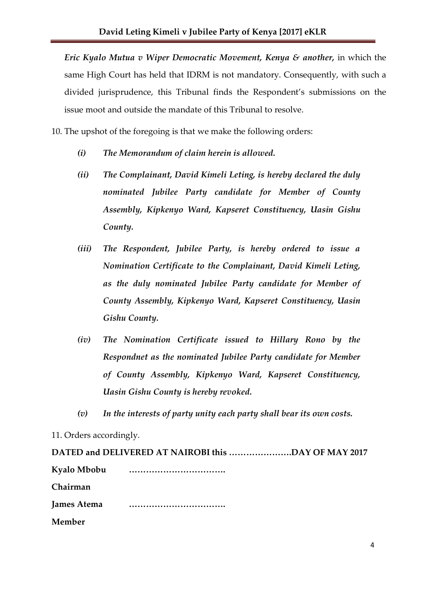*Eric Kyalo Mutua v Wiper Democratic Movement, Kenya & another,* in which the same High Court has held that IDRM is not mandatory. Consequently, with such a divided jurisprudence, this Tribunal finds the Respondent's submissions on the issue moot and outside the mandate of this Tribunal to resolve.

10. The upshot of the foregoing is that we make the following orders:

- *(i) The Memorandum of claim herein is allowed.*
- *(ii) The Complainant, David Kimeli Leting, is hereby declared the duly nominated Jubilee Party candidate for Member of County Assembly, Kipkenyo Ward, Kapseret Constituency, Uasin Gishu County.*
- *(iii) The Respondent, Jubilee Party, is hereby ordered to issue a Nomination Certificate to the Complainant, David Kimeli Leting, as the duly nominated Jubilee Party candidate for Member of County Assembly, Kipkenyo Ward, Kapseret Constituency, Uasin Gishu County.*
- *(iv) The Nomination Certificate issued to Hillary Rono by the Respondnet as the nominated Jubilee Party candidate for Member of County Assembly, Kipkenyo Ward, Kapseret Constituency, Uasin Gishu County is hereby revoked.*
- *(v) In the interests of party unity each party shall bear its own costs.*

11. Orders accordingly.

**DATED and DELIVERED AT NAIROBI this ………………….DAY OF MAY 2017 Kyalo Mbobu ……………………………. Chairman James Atema ……………………………. Member**